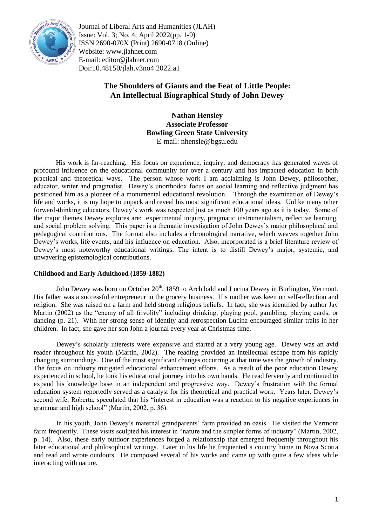

Journal of Liberal Arts and Humanities (JLAH) Issue: Vol. 3; No. 4; April 2022(pp. 1-9) ISSN 2690-070X (Print) 2690-0718 (Online) Website: www.jlahnet.com E-mail: editor@jlahnet.com Doi:10.48150/jlah.v3no4.2022.a1

# **The Shoulders of Giants and the Feat of Little People: An Intellectual Biographical Study of John Dewey**

**Nathan Hensley Associate Professor Bowling Green State University** E-mail: nhensle@bgsu.edu

His work is far-reaching. His focus on experience, inquiry, and democracy has generated waves of profound influence on the educational community for over a century and has impacted education in both practical and theoretical ways. The person whose work I am acclaiming is John Dewey, philosopher, educator, writer and pragmatist. Dewey's unorthodox focus on social learning and reflective judgment has positioned him as a pioneer of a monumental educational revolution. Through the examination of Dewey's life and works, it is my hope to unpack and reveal his most significant educational ideas. Unlike many other forward-thinking educators, Dewey's work was respected just as much 100 years ago as it is today. Some of the major themes Dewey explores are: experimental inquiry, pragmatic instrumentalism, reflective learning, and social problem solving. This paper is a thematic investigation of John Dewey's major philosophical and pedagogical contributions. The format also includes a chronological narrative, which weaves together John Dewey's works, life events, and his influence on education. Also, incorporated is a brief literature review of Dewey's most noteworthy educational writings. The intent is to distill Dewey's major, systemic, and unwavering epistemological contributions.

# **Childhood and Early Adulthood (1859-1882)**

John Dewey was born on October 20<sup>th</sup>, 1859 to Archibald and Lucina Dewey in Burlington, Vermont. His father was a successful entrepreneur in the grocery business. His mother was keen on self-reflection and religion. She was raised on a farm and held strong religious beliefs. In fact, she was identified by author Jay Martin (2002) as the "enemy of all frivolity" including drinking, playing pool, gambling, playing cards, or dancing (p. 21). With her strong sense of identity and retrospection Lucina encouraged similar traits in her children. In fact, she gave her son John a journal every year at Christmas time.

Dewey's scholarly interests were expansive and started at a very young age. Dewey was an avid reader throughout his youth (Martin, 2002). The reading provided an intellectual escape from his rapidly changing surroundings. One of the most significant changes occurring at that time was the growth of industry. The focus on industry mitigated educational enhancement efforts. As a result of the poor education Dewey experienced in school, he took his educational journey into his own hands. He read fervently and continued to expand his knowledge base in an independent and progressive way. Dewey's frustration with the formal education system reportedly served as a catalyst for his theoretical and practical work. Years later, Dewey's second wife, Roberta, speculated that his "interest in education was a reaction to his negative experiences in grammar and high school" (Martin, 2002, p. 36).

In his youth, John Dewey's maternal grandparents' farm provided an oasis. He visited the Vermont farm frequently. These visits sculpted his interest in "nature and the simpler forms of industry" (Martin, 2002, p. 14). Also, these early outdoor experiences forged a relationship that emerged frequently throughout his later educational and philosophical writings. Later in his life he frequented a country home in Nova Scotia and read and wrote outdoors. He composed several of his works and came up with quite a few ideas while interacting with nature.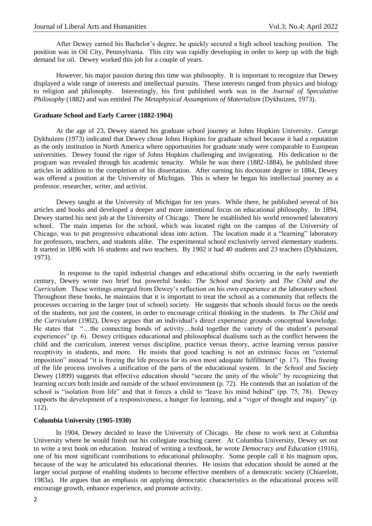After Dewey earned his Bachelor's degree, he quickly secured a high school teaching position. The position was in Oil City, Pennsylvania. This city was rapidly developing in order to keep up with the high demand for oil. Dewey worked this job for a couple of years.

However, his major passion during this time was philosophy. It is important to recognize that Dewey displayed a wide range of interests and intellectual pursuits. These interests ranged from physics and biology to religion and philosophy. Interestingly, his first published work was in the *Journal of Speculative Philosophy* (1882) and was entitled *The Metaphysical Assumptions of Materialism* (Dykhuizen, 1973)*.*

#### **Graduate School and Early Career (1882-1904)**

At the age of 23, Dewey started his graduate school journey at Johns Hopkins University. George Dykhuizen (1973) indicated that Dewey chose Johns Hopkins for graduate school because it had a reputation as the only institution in North America where opportunities for graduate study were comparable to European universities. Dewey found the rigor of Johns Hopkins challenging and invigorating. His dedication to the program was revealed through his academic tenacity. While he was there (1882-1884), he published three articles in addition to the completion of his dissertation. After earning his doctorate degree in 1884, Dewey was offered a position at the University of Michigan. This is where he began his intellectual journey as a professor, researcher, writer, and activist.

Dewey taught at the University of Michigan for ten years. While there, he published several of his articles and books and developed a deeper and more intentional focus on educational philosophy. In 1894, Dewey started his next job at the University of Chicago. There he established his world renowned laboratory school. The main impetus for the school, which was located right on the campus of the University of Chicago, was to put progressive educational ideas into action. The location made it a "learning" laboratory for professors, teachers, and students alike. The experimental school exclusively served elementary students. It started in 1896 with 16 students and two teachers. By 1902 it had 40 students and 23 teachers (Dykhuizen, 1973).

 In response to the rapid industrial changes and educational shifts occurring in the early twentieth century, Dewey wrote two brief but powerful books: *The School and Society* and *The Child and the Curriculum*. These writings emerged from Dewey's reflection on his own experience at the laboratory school. Throughout these books, he maintains that it is important to treat the school as a community that reflects the processes occurring in the larger (out of school) society. He suggests that schools should focus on the needs of the students, not just the content, in order to encourage critical thinking in the students. In *The Child and the Curriculum* (1902)*,* Dewey argues that an individual's direct experience grounds conceptual knowledge. He states that "…the connecting bonds of activity…hold together the variety of the student's personal experiences" (p. 6). Dewey critiques educational and philosophical dualisms such as the conflict between the child and the curriculum, interest versus discipline, practice versus theory, active learning versus passive receptivity in students, and more. He insists that good teaching is not an extrinsic focus on "external" imposition" instead "it is freeing the life process for its own most adequate fulfillment" (p. 17). This freeing of the life process involves a unification of the parts of the educational system. In the *School and Society*  Dewey (1899) suggests that effective education should "secure the unity of the whole" by recognizing that learning occurs both inside and outside of the school environment (p. 72). He contends that an isolation of the school is "isolation from life" and that it forces a child to "leave his mind behind" (pp. 75, 78). Dewey supports the development of a responsiveness, a hunger for learning, and a "vigor of thought and inquiry" (p. 112).

#### **Columbia University (1905-1930)**

In 1904, Dewey decided to leave the University of Chicago. He chose to work next at Columbia University where he would finish out his collegiate teaching career. At Columbia University, Dewey set out to write a text book on education. Instead of writing a textbook, he wrote *Democracy and Education* (1916), one of his most significant contributions to educational philosophy. Some people call it his magnum opus, because of the way he articulated his educational theories. He insists that education should be aimed at the larger social purpose of enabling students to become effective members of a democratic society (Chiarelott, 1983a). He argues that an emphasis on applying democratic characteristics in the educational process will encourage growth, enhance experience, and promote activity.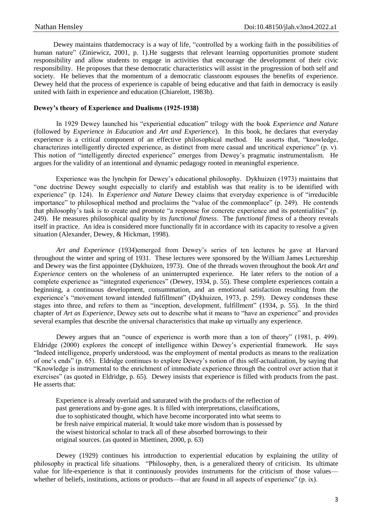Dewey maintains thatdemocracy is a way of life, "controlled by a working faith in the possibilities of human nature" (Ziniewicz, 2001, p. 1). He suggests that relevant learning opportunities promote student responsibility and allow students to engage in activities that encourage the development of their civic responsibility. He proposes that these democratic characteristics will assist in the progression of both self and society. He believes that the momentum of a democratic classroom espouses the benefits of experience. Dewey held that the process of experience is capable of being educative and that faith in democracy is easily united with faith in experience and education (Chiarelott, 1983b).

### **Dewey's theory of Experience and Dualisms (1925-1938)**

In 1929 Dewey launched his "experiential education" trilogy with the book *Experience and Nature* (followed by *Experience in Education* and *Art and Experience*). In this book, he declares that everyday experience is a critical component of an effective philosophical method. He asserts that, "knowledge, characterizes intelligently directed experience, as distinct from mere casual and uncritical experience" (p. v). This notion of "intelligently directed experience" emerges from Dewey's pragmatic instrumentalism. He argues for the validity of an intentional and dynamic pedagogy rooted in meaningful experience.

Experience was the lynchpin for Dewey's educational philosophy. Dykhuizen (1973) maintains that "one doctrine Dewey sought especially to clarify and establish was that reality is to be identified with experience" (p. 124). In *Experience and Nature* Dewey claims that everyday experience is of "irreducible importance" to philosophical method and proclaims the "value of the commonplace" (p. 249). He contends that philosophy's task is to create and promote "a response for concrete experience and its potentialities" (p. 249). He measures philosophical quality by its *functional fitness*. The *functional fitness* of a theory reveals itself in practice. An idea is considered more functionally fit in accordance with its capacity to resolve a given situation (Alexander, Dewey, & Hickman, 1998).

*Art and Experience* (1934)emerged from Dewey's series of ten lectures he gave at Harvard throughout the winter and spring of 1931. These lectures were sponsored by the William James Lectureship and Dewey was the first appointee (Dykhuizen, 1973). One of the threads woven throughout the book *Art and Experience* centers on the wholeness of an uninterrupted experience. He later refers to the notion of a complete experience as "integrated experiences" (Dewey, 1934, p. 55). These complete experiences contain a beginning, a continuous development, consummation, and an emotional satisfaction resulting from the experience's "movement toward intended fulfillment" (Dykhuizen, 1973, p. 259). Dewey condenses these stages into three, and refers to them as "inception, development, fulfillment" (1934, p. 55). In the third chapter of *Art as Experience*, Dewey sets out to describe what it means to "have an experience" and provides several examples that describe the universal characteristics that make up virtually any experience.

Dewey argues that an "ounce of experience is worth more than a ton of theory" (1981, p. 499). Eldridge (2000) explores the concept of intelligence within Dewey's experiential framework. He says "Indeed intelligence, properly understood, was the employment of mental products as means to the realization of one's ends" (p. 65). Eldridge continues to explore Dewey's notion of this self-actualization, by saying that "Knowledge is instrumental to the enrichment of immediate experience through the control over action that it exercises" (as quoted in Eldridge, p. 65). Dewey insists that experience is filled with products from the past. He asserts that:

Experience is already overlaid and saturated with the products of the reflection of past generations and by-gone ages. It is filled with interpretations, classifications, due to sophisticated thought, which have become incorporated into what seems to be fresh naive empirical material. It would take more wisdom than is possessed by the wisest historical scholar to track all of these absorbed borrowings to their original sources. (as quoted in Miettinen, 2000, p. 63)

Dewey (1929) continues his introduction to experiential education by explaining the utility of philosophy in practical life situations. "Philosophy, then, is a generalized theory of criticism. Its ultimate value for life-experience is that it continuously provides instruments for the criticism of those values whether of beliefs, institutions, actions or products—that are found in all aspects of experience" (p. ix).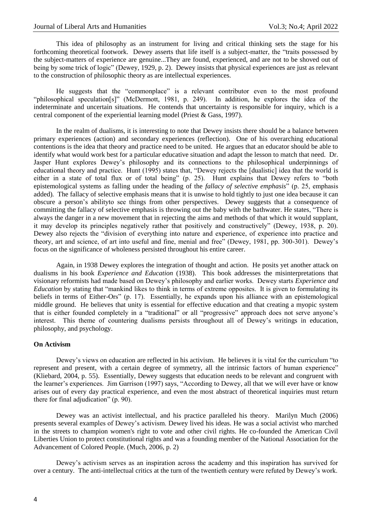This idea of philosophy as an instrument for living and critical thinking sets the stage for his forthcoming theoretical footwork. Dewey asserts that life itself is a subject-matter, the "traits possessed by the subject-matters of experience are genuine...They are found, experienced, and are not to be shoved out of being by some trick of logic" (Dewey, 1929, p. 2). Dewey insists that physical experiences are just as relevant to the construction of philosophic theory as are intellectual experiences.

He suggests that the "commonplace" is a relevant contributor even to the most profound "philosophical speculation[s]" (McDermott, 1981, p. 249). In addition, he explores the idea of the indeterminate and uncertain situations. He contends that uncertainty is responsible for inquiry, which is a central component of the experiential learning model (Priest & Gass, 1997).

In the realm of dualisms, it is interesting to note that Dewey insists there should be a balance between primary experiences (action) and secondary experiences (reflection). One of his overarching educational contentions is the idea that theory and practice need to be united. He argues that an educator should be able to identify what would work best for a particular educative situation and adapt the lesson to match that need. Dr. Jasper Hunt explores Dewey's philosophy and its connections to the philosophical underpinnings of educational theory and practice. Hunt (1995) states that, "Dewey rejects the [dualistic] idea that the world is either in a state of total flux or of total being" (p. 25). Hunt explains that Dewey refers to "both epistemological systems as falling under the heading of the *fallacy of selective emphasis*" (p. 25, emphasis added)*.* The fallacy of selective emphasis means that it is unwise to hold tightly to just one idea because it can obscure a person's abilityto see things from other perspectives. Dewey suggests that a consequence of committing the fallacy of selective emphasis is throwing out the baby with the bathwater. He states, "There is always the danger in a new movement that in rejecting the aims and methods of that which it would supplant, it may develop its principles negatively rather that positively and constructively" (Dewey, 1938, p. 20). Dewey also rejects the "division of everything into nature and experience, of experience into practice and theory, art and science, of art into useful and fine, menial and free" (Dewey, 1981, pp. 300-301). Dewey's focus on the significance of wholeness persisted throughout his entire career.

Again, in 1938 Dewey explores the integration of thought and action. He posits yet another attack on dualisms in his book *Experience and Education* (1938). This book addresses the misinterpretations that visionary reformists had made based on Dewey's philosophy and earlier works. Dewey starts *Experience and Education* by stating that "mankind likes to think in terms of extreme opposites. It is given to formulating its beliefs in terms of Either-Ors" (p. 17). Essentially, he expands upon his alliance with an epistemological middle ground. He believes that unity is essential for effective education and that creating a myopic system that is either founded completely in a "traditional" or all "progressive" approach does not serve anyone's interest. This theme of countering dualisms persists throughout all of Dewey's writings in education, philosophy, and psychology.

## **On Activism**

Dewey's views on education are reflected in his activism. He believes it is vital for the curriculum "to represent and present, with a certain degree of symmetry, all the intrinsic factors of human experience" (Kliebard, 2004, p. 55). Essentially, Dewey suggests that education needs to be relevant and congruent with the learner's experiences. Jim Garrison (1997) says, "According to Dewey, all that we will ever have or know arises out of every day practical experience, and even the most abstract of theoretical inquiries must return there for final adjudication" (p. 90).

Dewey was an activist intellectual, and his practice paralleled his theory. Marilyn Much (2006) presents several examples of Dewey's activism. Dewey lived his ideas. He was a social activist who marched in the streets to champion women's right to vote and other civil rights. He co-founded the American Civil Liberties Union to protect constitutional rights and was a founding member of the National Association for the Advancement of Colored People. (Much, 2006, p. 2)

Dewey's activism serves as an inspiration across the academy and this inspiration has survived for over a century. The anti-intellectual critics at the turn of the twentieth century were refuted by Dewey's work.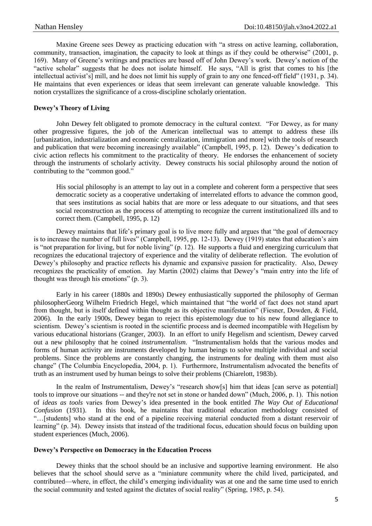Maxine Greene sees Dewey as practicing education with "a stress on active learning, collaboration, community, transaction, imagination, the capacity to look at things as if they could be otherwise" (2001, p. 169). Many of Greene's writings and practices are based off of John Dewey's work. Dewey's notion of the "active scholar" suggests that he does not isolate himself. He says, "All is grist that comes to his [the intellectual activist's] mill, and he does not limit his supply of grain to any one fenced-off field" (1931, p. 34). He maintains that even experiences or ideas that seem irrelevant can generate valuable knowledge. This notion crystallizes the significance of a cross-discipline scholarly orientation.

# **Dewey's Theory of Living**

John Dewey felt obligated to promote democracy in the cultural context. "For Dewey, as for many other progressive figures, the job of the American intellectual was to attempt to address these ills [urbanization, industrialization and economic centralization, immigration and more] with the tools of research and publication that were becoming increasingly available" (Campbell, 1995, p. 12). Dewey's dedication to civic action reflects his commitment to the practicality of theory. He endorses the enhancement of society through the instruments of scholarly activity. Dewey constructs his social philosophy around the notion of contributing to the "common good."

His social philosophy is an attempt to lay out in a complete and coherent form a perspective that sees democratic society as a cooperative undertaking of interrelated efforts to advance the common good, that sees institutions as social habits that are more or less adequate to our situations, and that sees social reconstruction as the process of attempting to recognize the current institutionalized ills and to correct them. (Campbell, 1995, p. 12)

Dewey maintains that life's primary goal is to live more fully and argues that "the goal of democracy is to increase the number of full lives" (Campbell, 1995, pp. 12-13). Dewey (1919) states that education's aim is "not preparation for living, but for noble living" (p. 12). He supports a fluid and energizing curriculum that recognizes the educational trajectory of experience and the vitality of deliberate reflection. The evolution of Dewey's philosophy and practice reflects his dynamic and expansive passion for practicality. Also, Dewey recognizes the practicality of emotion. Jay Martin (2002) claims that Dewey's "main entry into the life of thought was through his emotions" (p. 3).

Early in his career (1880s and 1890s) Dewey enthusiastically supported the philosophy of German philosopherGeorg Wilhelm Friedrich Hegel, which maintained that "the world of fact does not stand apart from thought, but is itself defined within thought as its objective manifestation" (Fiesner, Dowden, & Field, 2006). In the early 1900s, Dewey began to reject this epistemology due to his new found allegiance to scientism. Dewey's scientism is rooted in the scientific process and is deemed incompatible with Hegelism by various educational historians (Granger, 2003). In an effort to unify Hegelism and scientism, Dewey carved out a new philosophy that he coined *instrumentalism*. "Instrumentalism holds that the various modes and forms of human activity are instruments developed by human beings to solve multiple individual and social problems. Since the problems are constantly changing, the instruments for dealing with them must also change" (The Columbia Encyclopedia, 2004, p. 1). Furthermore, Instrumentalism advocated the benefits of truth as an instrument used by human beings to solve their problems (Chiarelott, 1983b).

In the realm of Instrumentalism, Dewey's "research show[s] him that ideas [can serve as potential] tools to improve our situations -- and they're not set in stone or handed down" (Much, 2006, p. 1). This notion of *ideas as tools* varies from Dewey's idea presented in the book entitled *The Way Out of Educational Confusion* (1931). In this book, he maintains that traditional education methodology consisted of "…[students] who stand at the end of a pipeline receiving material conducted from a distant reservoir of learning" (p. 34). Dewey insists that instead of the traditional focus, education should focus on building upon student experiences (Much, 2006).

#### **Dewey's Perspective on Democracy in the Education Process**

Dewey thinks that the school should be an inclusive and supportive learning environment. He also believes that the school should serve as a "miniature community where the child lived, participated, and contributed—where, in effect, the child's emerging individuality was at one and the same time used to enrich the social community and tested against the dictates of social reality" (Spring, 1985, p. 54).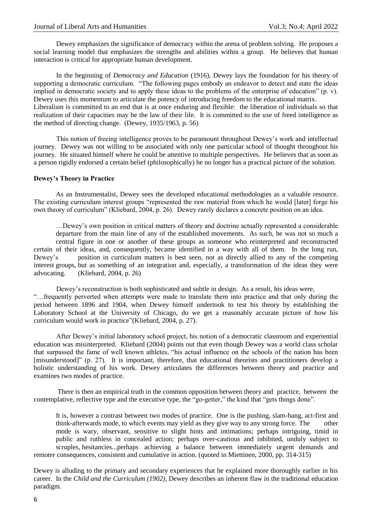Dewey emphasizes the significance of democracy within the arena of problem solving. He proposes a social learning model that emphasizes the strengths and abilities within a group. He believes that human interaction is critical for appropriate human development.

In the beginning of *Democracy and Education* (1916), Dewey lays the foundation for his theory of supporting a democratic curriculum. "The following pages embody an endeavor to detect and state the ideas implied in democratic society and to apply these ideas to the problems of the enterprise of education" (p. v). Dewey uses this momentum to articulate the potency of introducing freedom to the educational matrix. Liberalism is committed to an end that is at once enduring and flexible: the liberation of individuals so that realization of their capacities may be the law of their life. It is committed to the use of freed intelligence as the method of directing change. (Dewey, 1935/1963, p. 56)

This notion of freeing intelligence proves to be paramount throughout Dewey's work and intellectual journey. Dewey was not willing to be associated with only one particular school of thought throughout his journey. He situated himself where he could be attentive to multiple perspectives. He believes that as soon as a person rigidly endorsed a certain belief (philosophically) he no longer has a practical picture of the solution.

#### **Dewey's Theory in Practice**

As an Instrumentalist, Dewey sees the developed educational methodologies as a valuable resource. The existing curriculum interest groups "represented the raw material from which he would [later] forge his own theory of curriculum" (Kliebard, 2004, p. 26). Dewey rarely declares a concrete position on an idea.

…Dewey's own position in critical matters of theory and doctrine actually represented a considerable departure from the main line of any of the established movements. As such, he was not so much a central figure in one or another of these groups as someone who reinterpreted and reconstructed certain of their ideas, and, consequently, became identified in a way with all of them. In the long run, Dewey's position in curriculum matters is best seen, not as directly allied to any of the competing interest groups, but as something of an integration and, especially, a transformation of the ideas they were advocating. (Kliebard, 2004, p. 26)

Dewey's reconstruction is both sophisticated and subtle in design. As a result, his ideas were, "…frequently perverted when attempts were made to translate them into practice and that only during the period between 1896 and 1904, when Dewey himself undertook to test his theory by establishing the Laboratory School at the University of Chicago, do we get a reasonably accurate picture of how his curriculum would work in practice"(Kliebard, 2004, p. 27).

After Dewey's initial laboratory school project, his notion of a democratic classroom and experiential education was misinterpreted. Kliebard (2004) points out that even though Dewey was a world class scholar that surpassed the fame of well known athletes, "his actual influence on the schools of the nation has been [misunderstood]" (p. 27). It is important, therefore, that educational theorists and practitioners develop a holistic understanding of his work. Dewey articulates the differences between theory and practice and examines two modes of practice.

There is then an empirical truth in the common opposition between theory and practice, between the contemplative, reflective type and the executive type, the "go-getter," the kind that "gets things done".

It is, however a contrast between two modes of practice. One is the pushing, slam-bang, act-first and think-afterwards mode, to which events may yield as they give way to any strong force. The other mode is wary, observant, sensitive to slight hints and intimations; perhaps intriguing, timid in public and ruthless in concealed action; perhaps over-cautious and inhibited, unduly subject to scruples, hesitancies...perhaps achieving a balance between immediately urgent demands and remoter consequences, consistent and cumulative in action. (quoted in Miettinen, 2000, pp. 314-315)

Dewey is alluding to the primary and secondary experiences that he explained more thoroughly earlier in his career. In the *Child and the Curriculum (1902)*, Dewey describes an inherent flaw in the traditional education paradigm.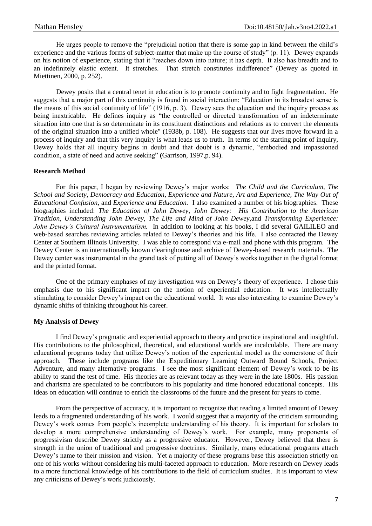He urges people to remove the "prejudicial notion that there is some gap in kind between the child's experience and the various forms of subject-matter that make up the course of study" (p. 11). Dewey expands on his notion of experience, stating that it "reaches down into nature; it has depth. It also has breadth and to an indefinitely elastic extent. It stretches. That stretch constitutes indifference" (Dewey as quoted in Miettinen, 2000, p. 252).

Dewey posits that a central tenet in education is to promote continuity and to fight fragmentation. He suggests that a major part of this continuity is found in social interaction: "Education in its broadest sense is the means of this social continuity of life" (1916, p. 3). Dewey sees the education and the inquiry process as being inextricable. He defines inquiry as "the controlled or directed transformation of an indeterminate situation into one that is so determinate in its constituent distinctions and relations as to convert the elements of the original situation into a unified whole" (1938b, p. 108). He suggests that our lives move forward in a process of inquiry and that this very inquiry is what leads us to truth. In terms of the starting point of inquiry, Dewey holds that all inquiry begins in doubt and that doubt is a dynamic, "embodied and impassioned condition, a state of need and active seeking" **(**Garrison, 1997,p. 94).

# **Research Method**

For this paper, I began by reviewing Dewey's major works: *The Child and the Curriculum, The School and Society, Democracy and Education, Experience and Nature, Art and Experience, The Way Out of Educational Confusion,* and *Experience and Education.* I also examined a number of his biographies. These biographies included: *The Education of John Dewey*, *John Dewey: His Contribution to the American Tradition*, *Understanding John Dewey*, *The Life and Mind of John Dewey*,and *Transforming Experience: John Dewey's Cultural Instrumentalism.* In addition to looking at his books, I did several GAILILEO and web-based searches reviewing articles related to Dewey's theories and his life. I also contacted the Dewey Center at Southern Illinois University. I was able to correspond via e-mail and phone with this program. The Dewey Center is an internationally known clearinghouse and archive of Dewey-based research materials. The Dewey center was instrumental in the grand task of putting all of Dewey's works together in the digital format and the printed format.

One of the primary emphases of my investigation was on Dewey's theory of experience. I chose this emphasis due to his significant impact on the notion of experiential education. It was intellectually stimulating to consider Dewey's impact on the educational world. It was also interesting to examine Dewey's dynamic shifts of thinking throughout his career.

## **My Analysis of Dewey**

I find Dewey's pragmatic and experiential approach to theory and practice inspirational and insightful. His contributions to the philosophical, theoretical, and educational worlds are incalculable. There are many educational programs today that utilize Dewey's notion of the experiential model as the cornerstone of their approach. These include programs like the Expeditionary Learning Outward Bound Schools, Project Adventure, and many alternative programs. I see the most significant element of Dewey's work to be its ability to stand the test of time. His theories are as relevant today as they were in the late 1800s. His passion and charisma are speculated to be contributors to his popularity and time honored educational concepts. His ideas on education will continue to enrich the classrooms of the future and the present for years to come.

From the perspective of accuracy, it is important to recognize that reading a limited amount of Dewey leads to a fragmented understanding of his work. I would suggest that a majority of the criticism surrounding Dewey's work comes from people's incomplete understanding of his theory. It is important for scholars to develop a more comprehensive understanding of Dewey's work. For example, many proponents of progressivism describe Dewey strictly as a progressive educator. However, Dewey believed that there is strength in the union of traditional and progressive doctrines. Similarly, many educational programs attach Dewey's name to their mission and vision. Yet a majority of these programs base this association strictly on one of his works without considering his multi-faceted approach to education. More research on Dewey leads to a more functional knowledge of his contributions to the field of curriculum studies. It is important to view any criticisms of Dewey's work judiciously.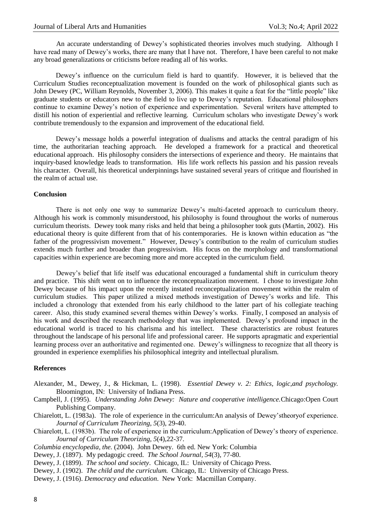An accurate understanding of Dewey's sophisticated theories involves much studying. Although I have read many of Dewey's works, there are many that I have not. Therefore, I have been careful to not make any broad generalizations or criticisms before reading all of his works.

Dewey's influence on the curriculum field is hard to quantify. However, it is believed that the Curriculum Studies reconceptualization movement is founded on the work of philosophical giants such as John Dewey (PC, William Reynolds, November 3, 2006). This makes it quite a feat for the "little people" like graduate students or educators new to the field to live up to Dewey's reputation. Educational philosophers continue to examine Dewey's notion of experience and experimentation. Several writers have attempted to distill his notion of experiential and reflective learning. Curriculum scholars who investigate Dewey's work contribute tremendously to the expansion and improvement of the educational field.

Dewey's message holds a powerful integration of dualisms and attacks the central paradigm of his time, the authoritarian teaching approach. He developed a framework for a practical and theoretical educational approach. His philosophy considers the intersections of experience and theory. He maintains that inquiry-based knowledge leads to transformation. His life work reflects his passion and his passion reveals his character. Overall, his theoretical underpinnings have sustained several years of critique and flourished in the realm of actual use.

#### **Conclusion**

There is not only one way to summarize Dewey's multi-faceted approach to curriculum theory. Although his work is commonly misunderstood, his philosophy is found throughout the works of numerous curriculum theorists. Dewey took many risks and held that being a philosopher took guts (Martin, 2002). His educational theory is quite different from that of his contemporaries. He is known within education as "the father of the progressivism movement." However, Dewey's contribution to the realm of curriculum studies extends much further and broader than progressivism. His focus on the morphology and transformational capacities within experience are becoming more and more accepted in the curriculum field.

Dewey's belief that life itself was educational encouraged a fundamental shift in curriculum theory and practice. This shift went on to influence the reconceptualization movement. I chose to investigate John Dewey because of his impact upon the recently instated reconceptualization movement within the realm of curriculum studies. This paper utilized a mixed methods investigation of Dewey's works and life. This included a chronology that extended from his early childhood to the latter part of his collegiate teaching career. Also, this study examined several themes within Dewey's works. Finally, I composed an analysis of his work and described the research methodology that was implemented. Dewey's profound impact in the educational world is traced to his charisma and his intellect. These characteristics are robust features throughout the landscape of his personal life and professional career. He supports apragmatic and experiential learning process over an authoritative and regimented one. Dewey's willingness to recognize that all theory is grounded in experience exemplifies his philosophical integrity and intellectual pluralism.

## **References**

- Alexander, M., Dewey, J., & Hickman, L. (1998). *Essential Dewey v. 2: Ethics, logic,and psychology.* Bloomington, IN: University of Indiana Press.
- Campbell, J. (1995). *Understanding John Dewey: Nature and cooperative intelligence.*Chicago:Open Court Publishing Company.
- Chiarelott, L. (1983a). The role of experience in the curriculum:An analysis of Dewey'stheoryof experience. *Journal of Curriculum Theorizing, 5*(3), 29-40.
- Chiarelott, L. (1983b). The role of experience in the curriculum:Application of Dewey's theory of experience. *Journal of Curriculum Theorizing, 5*(4),22-37.
- *Columbia encyclopedia, the.* (2004). John Dewey. 6th ed. New York: Columbia
- Dewey, J. (1897). My pedagogic creed. *The School Journal, 54*(3), 77-80.
- Dewey, J. (1899). *The school and society*. Chicago, IL: University of Chicago Press.
- Dewey, J. (1902). *The child and the curriculum.* Chicago, IL: University of Chicago Press.
- Dewey, J. (1916). *Democracy and education*. New York: Macmillan Company.